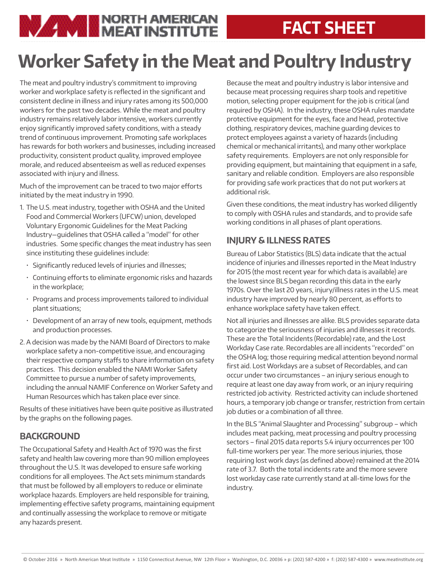### **FACT SHEET**

# **Worker Safety in the Meat and Poultry Industry**

The meat and poultry industry's commitment to improving worker and workplace safety is reflected in the significant and consistent decline in illness and injury rates among its 500,000 workers for the past two decades. While the meat and poultry industry remains relatively labor intensive, workers currently enjoy significantly improved safety conditions, with a steady trend of continuous improvement. Promoting safe workplaces has rewards for both workers and businesses, including increased productivity, consistent product quality, improved employee morale, and reduced absenteeism as well as reduced expenses associated with injury and illness.

**NUMBER OF A STATE AND REAL PROPERTY** 

Much of the improvement can be traced to two major efforts initiated by the meat industry in 1990.

- 1. The U.S. meat industry, together with OSHA and the United Food and Commercial Workers (UFCW) union, developed Voluntary Ergonomic Guidelines for the Meat Packing Industry—guidelines that OSHA called a "model" for other industries. Some specific changes the meat industry has seen since instituting these guidelines include:
	- Significantly reduced levels of injuries and illnesses;
	- Continuing efforts to eliminate ergonomic risks and hazards in the workplace;
	- Programs and process improvements tailored to individual plant situations;
	- Development of an array of new tools, equipment, methods and production processes.
- 2. A decision was made by the NAMI Board of Directors to make workplace safety a non-competitive issue, and encouraging their respective company staffs to share information on safety practices. This decision enabled the NAMI Worker Safety Committee to pursue a number of safety improvements, including the annual NAMIF Conference on Worker Safety and Human Resources which has taken place ever since.

Results of these initiatives have been quite positive as illustrated by the graphs on the following pages.

#### **BACKGROUND**

The Occupational Safety and Health Act of 1970 was the first safety and health law covering more than 90 million employees throughout the U.S. It was developed to ensure safe working conditions for all employees. The Act sets minimum standards that must be followed by all employers to reduce or eliminate workplace hazards. Employers are held responsible for training, implementing effective safety programs, maintaining equipment and continually assessing the workplace to remove or mitigate any hazards present.

Because the meat and poultry industry is labor intensive and because meat processing requires sharp tools and repetitive motion, selecting proper equipment for the job is critical (and required by OSHA). In the industry, these OSHA rules mandate protective equipment for the eyes, face and head, protective clothing, respiratory devices, machine guarding devices to protect employees against a variety of hazards (including chemical or mechanical irritants), and many other workplace safety requirements. Employers are not only responsible for providing equipment, but maintaining that equipment in a safe, sanitary and reliable condition. Employers are also responsible for providing safe work practices that do not put workers at additional risk.

Given these conditions, the meat industry has worked diligently to comply with OSHA rules and standards, and to provide safe working conditions in all phases of plant operations.

#### **INJURY & ILLNESS RATES**

Bureau of Labor Statistics (BLS) data indicate that the actual incidence of injuries and illnesses reported in the Meat Industry for 2015 (the most recent year for which data is available) are the lowest since BLS began recording this data in the early 1970s. Over the last 20 years, injury/illness rates in the U.S. meat industry have improved by nearly 80 percent, as efforts to enhance workplace safety have taken effect.

Not all injuries and illnesses are alike. BLS provides separate data to categorize the seriousness of injuries and illnesses it records. These are the Total Incidents (Recordable) rate, and the Lost Workday Case rate. Recordables are all incidents "recorded" on the OSHA log; those requiring medical attention beyond normal first aid. Lost Workdays are a subset of Recordables, and can occur under two circumstances – an injury serious enough to require at least one day away from work, or an injury requiring restricted job activity. Restricted activity can include shortened hours, a temporary job change or transfer, restriction from certain job duties or a combination of all three.

In the BLS "Animal Slaughter and Processing" subgroup – which includes meat packing, meat processing and poultry processing sectors – final 2015 data reports 5.4 injury occurrences per 100 full-time workers per year. The more serious injuries, those requiring lost work days (as defined above) remained at the 2014 rate of 3.7. Both the total incidents rate and the more severe lost workday case rate currently stand at all-time lows for the industry.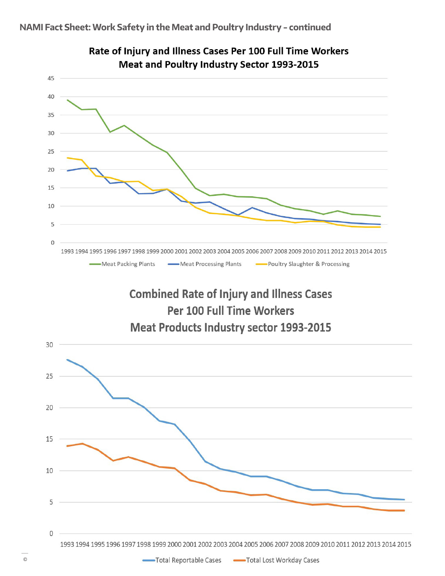

## Rate of Injury and Illness Cases Per 100 Full Time Workers

### **Combined Rate of Injury and Illness Cases** Per 100 Full Time Workers **Meat Products Industry sector 1993-2015**

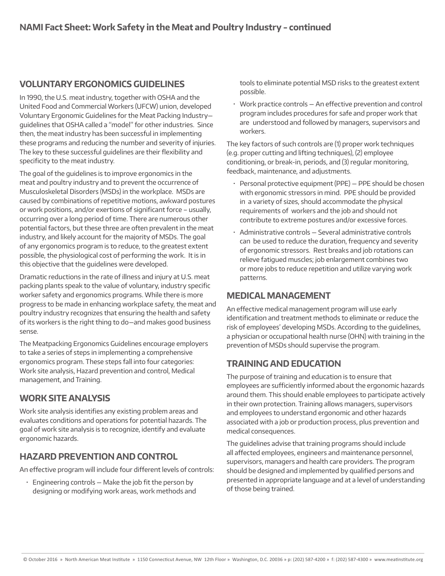#### **VOLUNTARY ERGONOMICS GUIDELINES**

In 1990, the U.S. meat industry, together with OSHA and the United Food and Commercial Workers (UFCW) union, developed Voluntary Ergonomic Guidelines for the Meat Packing Industry guidelines that OSHA called a "model" for other industries. Since then, the meat industry has been successful in implementing these programs and reducing the number and severity of injuries. The key to these successful guidelines are their flexibility and specificity to the meat industry.

The goal of the guidelines is to improve ergonomics in the meat and poultry industry and to prevent the occurrence of Musculoskeletal Disorders (MSDs) in the workplace. MSDs are caused by combinations of repetitive motions, awkward postures or work positions, and/or exertions of significant force – usually, occurring over a long period of time. There are numerous other potential factors, but these three are often prevalent in the meat industry, and likely account for the majority of MSDs. The goal of any ergonomics program is to reduce, to the greatest extent possible, the physiological cost of performing the work. It is in this objective that the guidelines were developed.

Dramatic reductions in the rate of illness and injury at U.S. meat packing plants speak to the value of voluntary, industry specific worker safety and ergonomics programs. While there is more progress to be made in enhancing workplace safety, the meat and poultry industry recognizes that ensuring the health and safety of its workers is the right thing to do—and makes good business sense.

The Meatpacking Ergonomics Guidelines encourage employers to take a series of steps in implementing a comprehensive ergonomics program. These steps fall into four categories: Work site analysis, Hazard prevention and control, Medical management, and Training.

#### **WORK SITE ANALYSIS**

Work site analysis identifies any existing problem areas and evaluates conditions and operations for potential hazards. The goal of work site analysis is to recognize, identify and evaluate ergonomic hazards.

#### **HAZARD PREVENTION AND CONTROL**

An effective program will include four different levels of controls:

 $\cdot$  Engineering controls – Make the job fit the person by designing or modifying work areas, work methods and tools to eliminate potential MSD risks to the greatest extent possible.

• Work practice controls — An effective prevention and control program includes procedures for safe and proper work that are understood and followed by managers, supervisors and workers.

The key factors of such controls are (1) proper work techniques (e.g. proper cutting and lifting techniques), (2) employee conditioning, or break-in, periods, and (3) regular monitoring, feedback, maintenance, and adjustments.

- Personal protective equipment (PPE) PPE should be chosen with ergonomic stressors in mind. PPE should be provided in a variety of sizes, should accommodate the physical requirements of workers and the job and should not contribute to extreme postures and/or excessive forces.
- Administrative controls Several administrative controls can be used to reduce the duration, frequency and severity of ergonomic stressors. Rest breaks and job rotations can relieve fatigued muscles; job enlargement combines two or more jobs to reduce repetition and utilize varying work patterns.

#### **MEDICAL MANAGEMENT**

An effective medical management program will use early identification and treatment methods to eliminate or reduce the risk of employees' developing MSDs. According to the guidelines, a physician or occupational health nurse (OHN) with training in the prevention of MSDs should supervise the program.

#### **TRAINING AND EDUCATION**

The purpose of training and education is to ensure that employees are sufficiently informed about the ergonomic hazards around them. This should enable employees to participate actively in their own protection. Training allows managers, supervisors and employees to understand ergonomic and other hazards associated with a job or production process, plus prevention and medical consequences.

The guidelines advise that training programs should include all affected employees, engineers and maintenance personnel, supervisors, managers and health care providers. The program should be designed and implemented by qualified persons and presented in appropriate language and at a level of understanding of those being trained.